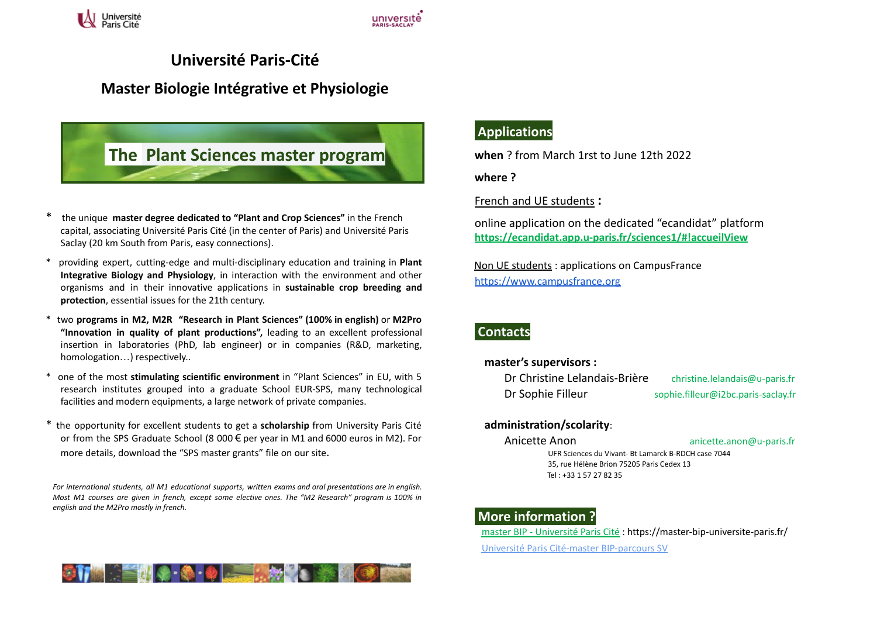

## **Université Paris-Cité**

### **Master Biologie Intégrative et Physiologie**

# **The Plant Sciences master program**

- \* the unique **master degree dedicated to "Plant and Crop Sciences"** in the French capital, associating Université Paris Cité (in the center of Paris) and Université Paris Saclay (20 km South from Paris, easy connections).
- \* providing expert, cutting-edge and multi-disciplinary education and training in **Plant Integrative Biology and Physiology**, in interaction with the environment and other organisms and in their innovative applications in **sustainable crop breeding and protection**, essential issues for the 21th century.
- \* two **programs in M2, M2R "Research in Plant Sciences" (100% in english)** or **M2Pro "Innovation in quality of plant productions",** leading to an excellent professional insertion in laboratories (PhD, lab engineer) or in companies (R&D, marketing, homologation…) respectively..
- \* one of the most **stimulating scientific environment** in "Plant Sciences" in EU, with 5 research institutes grouped into a graduate School EUR-SPS, many technological facilities and modern equipments, a large network of private companies.
- \* the opportunity for excellent students to get a **scholarship** from University Paris Cité or from the SPS Graduate School (8 000 € per year in M1 and 6000 euros in M2). For more details, download the "SPS master grants" file on our site.

*For international students, all M1 educational supports, written exams and oral presentations are in english.* Most M1 courses are aiven in french, except some elective ones. The "M2 Research" program is 100% in *english and the M2Pro mostly in french.*



### **Applications**

**when** ? from March 1rst to June 12th 2022

**where ?**

French and UE students **:**

online application on the dedicated "ecandidat" platform **<https://ecandidat.app.u-paris.fr/sciences1/#!accueilView>**

Non UE students : applications on CampusFrance <https://www.campusfrance.org>

### **Contacts**

**master's supervisors :**

| Dr Christine Lelandais-Brière | christine.lelandais@u-paris.fr      |
|-------------------------------|-------------------------------------|
| Dr Sophie Filleur             | sophie.filleur@i2bc.paris-saclay.fr |

#### **administration/scolarity**:

Anicette Anon anicette.anon@u-paris.fr UFR Sciences du Vivant- Bt Lamarck B-RDCH case 7044 35, rue Hélène Brion 75205 Paris Cedex 13 Tel : +33 1 57 27 82 35

### **More information ?**

master BIP - [Université](https://master-bip-universite-paris.fr/) Paris Cité : https://master-bip-universite-paris.fr/ Université Paris Cité-master [BIP-parcours](https://odf.u-paris.fr/fr/offre-de-formation/master-XB/sciences-technologies-sante-STS/biologie-integrative-et-physiologie-K2NDQ0IC/master-biologie-integrative-et-physiologie-parcours-sciences-du-vegetal-sv-JS041D75.html) SV**.**